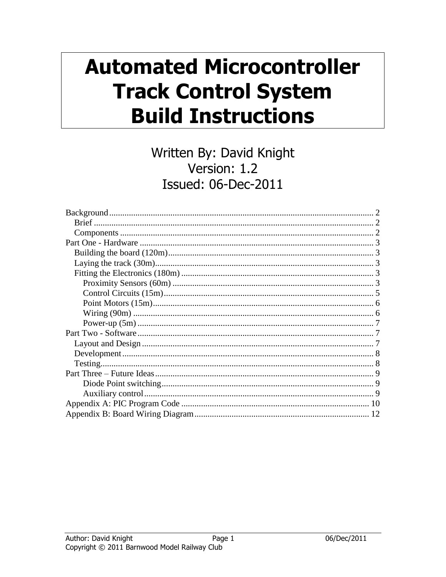# **Automated Microcontroller Track Control System Build Instructions**

# Written By: David Knight Version: 1.2 **Issued: 06-Dec-2011**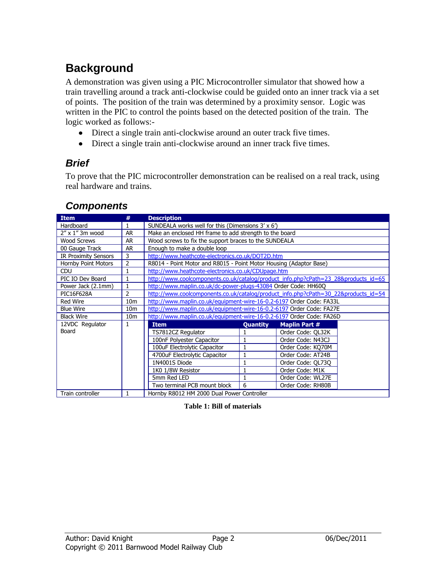# <span id="page-1-0"></span>**Background**

A demonstration was given using a PIC Microcontroller simulator that showed how a train travelling around a track anti-clockwise could be guided onto an inner track via a set of points. The position of the train was determined by a proximity sensor. Logic was written in the PIC to control the points based on the detected position of the train. The logic worked as follows:-

- Direct a single train anti-clockwise around an outer track five times.
- Direct a single train anti-clockwise around an inner track five times.

# <span id="page-1-1"></span>*Brief*

To prove that the PIC microcontroller demonstration can be realised on a real track, using real hardware and trains.

| <b>Item</b>                 | #               | <b>Description</b>                                                                  |                 |                      |  |  |
|-----------------------------|-----------------|-------------------------------------------------------------------------------------|-----------------|----------------------|--|--|
| Hardboard                   |                 | SUNDEALA works well for this (Dimensions 3' x 6')                                   |                 |                      |  |  |
| 2" x 1" 3m wood             | AR              | Make an enclosed HH frame to add strength to the board                              |                 |                      |  |  |
| <b>Wood Screws</b>          | AR              | Wood screws to fix the support braces to the SUNDEALA                               |                 |                      |  |  |
| 00 Gauge Track              | <b>AR</b>       | Enough to make a double loop                                                        |                 |                      |  |  |
| <b>IR Proximity Sensors</b> | 3               | http://www.heathcote-electronics.co.uk/DOT2D.htm                                    |                 |                      |  |  |
| <b>Hornby Point Motors</b>  | $\overline{2}$  | R8014 - Point Motor and R8015 - Point Motor Housing (Adaptor Base)                  |                 |                      |  |  |
| <b>CDU</b>                  |                 | http://www.heathcote-electronics.co.uk/CDUpage.htm                                  |                 |                      |  |  |
| PIC IO Dev Board            |                 | http://www.coolcomponents.co.uk/catalog/product_info.php?cPath=23_28&products_id=65 |                 |                      |  |  |
| Power Jack (2.1mm)          |                 | http://www.maplin.co.uk/dc-power-plugs-43084 Order Code: HH60Q                      |                 |                      |  |  |
| PIC16F628A                  | $\overline{2}$  | http://www.coolcomponents.co.uk/catalog/product_info.php?cPath=30_22&products_id=54 |                 |                      |  |  |
| <b>Red Wire</b>             | 10 <sub>m</sub> | http://www.maplin.co.uk/equipment-wire-16-0.2-6197 Order Code: FA33L                |                 |                      |  |  |
| <b>Blue Wire</b>            | 10 <sub>m</sub> | http://www.maplin.co.uk/equipment-wire-16-0.2-6197 Order Code: FA27E                |                 |                      |  |  |
| <b>Black Wire</b>           | 10 <sub>m</sub> | http://www.maplin.co.uk/equipment-wire-16-0.2-6197 Order Code: FA26D                |                 |                      |  |  |
| 12VDC Regulator             | 1               | <b>Item</b>                                                                         | <b>Quantity</b> | <b>Maplin Part #</b> |  |  |
| Board                       |                 | TS7812CZ Regulator                                                                  |                 | Order Code: QL32K    |  |  |
|                             |                 | 100nF Polyester Capacitor                                                           | 1               | Order Code: N43CJ    |  |  |
|                             |                 | 100uF Electrolytic Capacitor                                                        | 1               | Order Code: KO70M    |  |  |
|                             |                 | 4700uF Electrolytic Capacitor                                                       | 1               | Order Code: AT24B    |  |  |
|                             |                 | 1N4001S Diode                                                                       | 1               | Order Code: OL730    |  |  |
|                             |                 | 1K0 1/8W Resistor                                                                   |                 | Order Code: M1K      |  |  |
|                             |                 | 5mm Red LED                                                                         | 1               | Order Code: WL27E    |  |  |
|                             |                 | Two terminal PCB mount block                                                        | 6               | Order Code: RH80B    |  |  |
| Train controller            |                 | Hornby R8012 HM 2000 Dual Power Controller                                          |                 |                      |  |  |

### <span id="page-1-2"></span>*Components*

**Table 1: Bill of materials**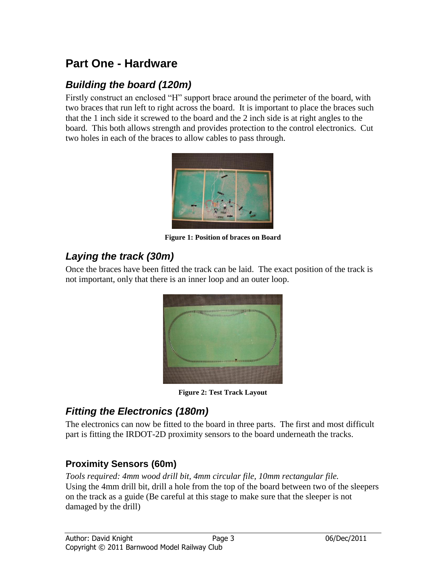# <span id="page-2-0"></span>**Part One - Hardware**

# <span id="page-2-1"></span>*Building the board (120m)*

Firstly construct an enclosed "H" support brace around the perimeter of the board, with two braces that run left to right across the board. It is important to place the braces such that the 1 inch side it screwed to the board and the 2 inch side is at right angles to the board. This both allows strength and provides protection to the control electronics. Cut two holes in each of the braces to allow cables to pass through.



**Figure 1: Position of braces on Board**

### <span id="page-2-2"></span>*Laying the track (30m)*

Once the braces have been fitted the track can be laid. The exact position of the track is not important, only that there is an inner loop and an outer loop.



**Figure 2: Test Track Layout**

# <span id="page-2-3"></span>*Fitting the Electronics (180m)*

The electronics can now be fitted to the board in three parts. The first and most difficult part is fitting the IRDOT-2D proximity sensors to the board underneath the tracks.

### <span id="page-2-4"></span>**Proximity Sensors (60m)**

*Tools required: 4mm wood drill bit, 4mm circular file, 10mm rectangular file.* Using the 4mm drill bit, drill a hole from the top of the board between two of the sleepers on the track as a guide (Be careful at this stage to make sure that the sleeper is not damaged by the drill)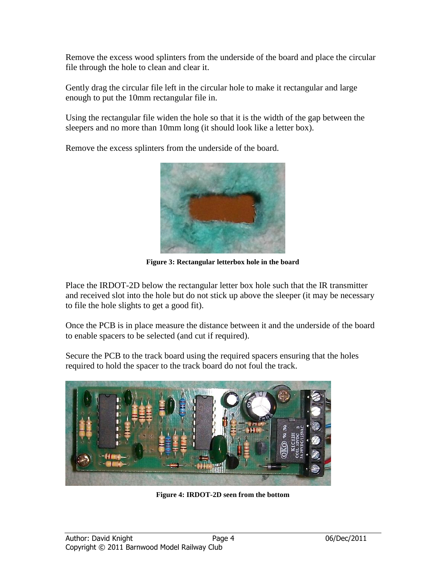Remove the excess wood splinters from the underside of the board and place the circular file through the hole to clean and clear it.

Gently drag the circular file left in the circular hole to make it rectangular and large enough to put the 10mm rectangular file in.

Using the rectangular file widen the hole so that it is the width of the gap between the sleepers and no more than 10mm long (it should look like a letter box).

Remove the excess splinters from the underside of the board.



**Figure 3: Rectangular letterbox hole in the board**

Place the IRDOT-2D below the rectangular letter box hole such that the IR transmitter and received slot into the hole but do not stick up above the sleeper (it may be necessary to file the hole slights to get a good fit).

Once the PCB is in place measure the distance between it and the underside of the board to enable spacers to be selected (and cut if required).

Secure the PCB to the track board using the required spacers ensuring that the holes required to hold the spacer to the track board do not foul the track.



**Figure 4: IRDOT-2D seen from the bottom**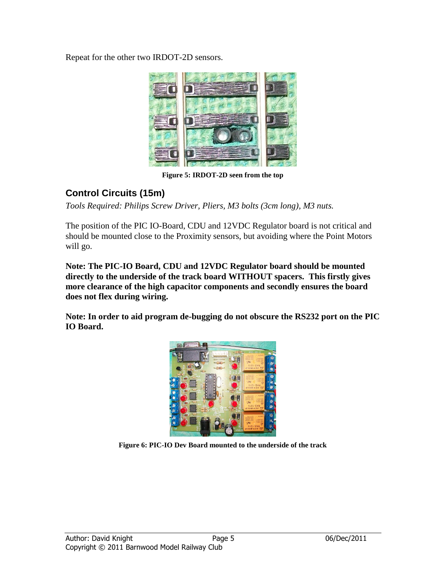Repeat for the other two IRDOT-2D sensors.



**Figure 5: IRDOT-2D seen from the top**

# <span id="page-4-0"></span>**Control Circuits (15m)**

*Tools Required: Philips Screw Driver, Pliers, M3 bolts (3cm long), M3 nuts.*

The position of the PIC IO-Board, CDU and 12VDC Regulator board is not critical and should be mounted close to the Proximity sensors, but avoiding where the Point Motors will go.

**Note: The PIC-IO Board, CDU and 12VDC Regulator board should be mounted directly to the underside of the track board WITHOUT spacers. This firstly gives more clearance of the high capacitor components and secondly ensures the board does not flex during wiring.**

**Note: In order to aid program de-bugging do not obscure the RS232 port on the PIC IO Board.**



**Figure 6: PIC-IO Dev Board mounted to the underside of the track**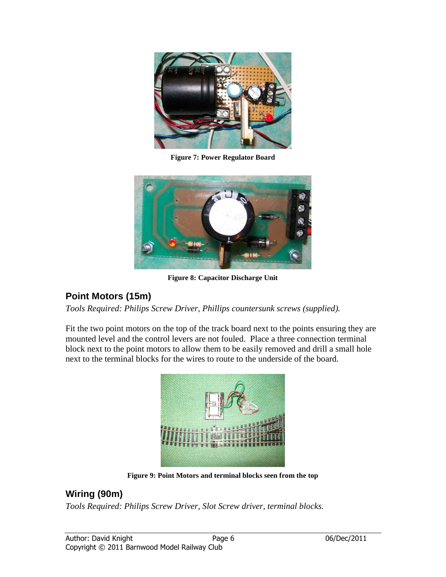

**Figure 7: Power Regulator Board**



**Figure 8: Capacitor Discharge Unit**

# <span id="page-5-0"></span>**Point Motors (15m)**

*Tools Required: Philips Screw Driver, Phillips countersunk screws (supplied).*

Fit the two point motors on the top of the track board next to the points ensuring they are mounted level and the control levers are not fouled. Place a three connection terminal block next to the point motors to allow them to be easily removed and drill a small hole next to the terminal blocks for the wires to route to the underside of the board.



**Figure 9: Point Motors and terminal blocks seen from the top**

### <span id="page-5-1"></span>**Wiring (90m)**

*Tools Required: Philips Screw Driver, Slot Screw driver, terminal blocks.*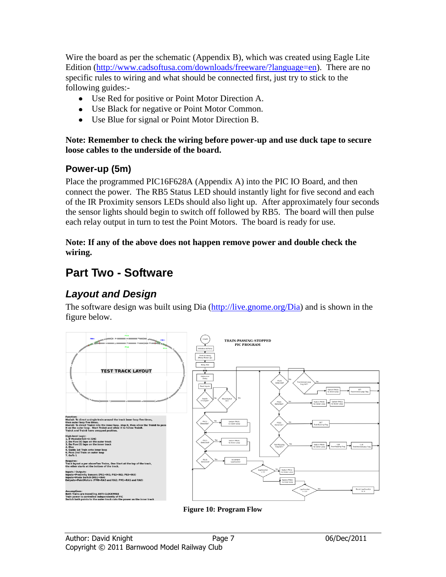Wire the board as per the schematic (Appendix B), which was created using Eagle Lite Edition [\(http://www.cadsoftusa.com/downloads/freeware/?language=en\)](http://www.cadsoftusa.com/downloads/freeware/?language=en). There are no specific rules to wiring and what should be connected first, just try to stick to the following guides:-

- Use Red for positive or Point Motor Direction A.
- Use Black for negative or Point Motor Common.
- Use Blue for signal or Point Motor Direction B.

#### **Note: Remember to check the wiring before power-up and use duck tape to secure loose cables to the underside of the board.**

### <span id="page-6-0"></span>**Power-up (5m)**

Place the programmed PIC16F628A (Appendix A) into the PIC IO Board, and then connect the power. The RB5 Status LED should instantly light for five second and each of the IR Proximity sensors LEDs should also light up. After approximately four seconds the sensor lights should begin to switch off followed by RB5. The board will then pulse each relay output in turn to test the Point Motors. The board is ready for use.

#### **Note: If any of the above does not happen remove power and double check the wiring.**

# <span id="page-6-1"></span>**Part Two - Software**

# <span id="page-6-2"></span>*Layout and Design*

The software design was built using Dia [\(http://live.gnome.org/Dia\)](http://live.gnome.org/Dia) and is shown in the figure below.



**Figure 10: Program Flow**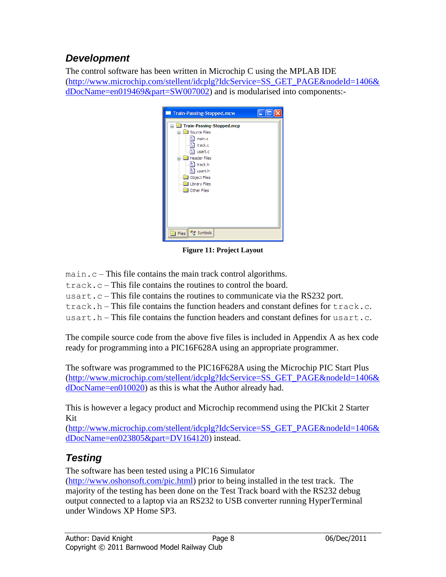# <span id="page-7-0"></span>*Development*

The control software has been written in Microchip C using the MPLAB IDE [\(http://www.microchip.com/stellent/idcplg?IdcService=SS\\_GET\\_PAGE&nodeId=1406&](http://www.microchip.com/stellent/idcplg?IdcService=SS_GET_PAGE&nodeId=1406&dDocName=en019469&part=SW007002) [dDocName=en019469&part=SW007002\)](http://www.microchip.com/stellent/idcplg?IdcService=SS_GET_PAGE&nodeId=1406&dDocName=en019469&part=SW007002) and is modularised into components:-

| <b>Train-Passing-Stopped.mcw</b>                                                                                                                                                                                                            |  |
|---------------------------------------------------------------------------------------------------------------------------------------------------------------------------------------------------------------------------------------------|--|
| <b>Train-Passing-Stopped.mcp</b><br>$\equiv$<br>Source Files<br>٤١<br>main.c<br><sup>⊆</sup> ] track.c<br><sup>⊆</sup> ] usart.c<br><b>Header Files</b><br>- 브 track.h<br>b] usart.h<br><b>Object Files</b><br>Library Files<br>Other Files |  |
| <sup>o</sup> n Symbols<br>Files                                                                                                                                                                                                             |  |

**Figure 11: Project Layout**

main.c – This file contains the main track control algorithms.

track.c – This file contains the routines to control the board.

usart.c – This file contains the routines to communicate via the RS232 port.

track.h – This file contains the function headers and constant defines for  $track.c.$ 

usart.h – This file contains the function headers and constant defines for usart.c.

The compile source code from the above five files is included in Appendix A as hex code ready for programming into a PIC16F628A using an appropriate programmer.

The software was programmed to the PIC16F628A using the Microchip PIC Start Plus [\(http://www.microchip.com/stellent/idcplg?IdcService=SS\\_GET\\_PAGE&nodeId=1406&](http://www.microchip.com/stellent/idcplg?IdcService=SS_GET_PAGE&nodeId=1406&dDocName=en010020) [dDocName=en010020\)](http://www.microchip.com/stellent/idcplg?IdcService=SS_GET_PAGE&nodeId=1406&dDocName=en010020) as this is what the Author already had.

This is however a legacy product and Microchip recommend using the PICkit 2 Starter Kit

[\(http://www.microchip.com/stellent/idcplg?IdcService=SS\\_GET\\_PAGE&nodeId=1406&](http://www.microchip.com/stellent/idcplg?IdcService=SS_GET_PAGE&nodeId=1406&dDocName=en023805&part=DV164120) [dDocName=en023805&part=DV164120\)](http://www.microchip.com/stellent/idcplg?IdcService=SS_GET_PAGE&nodeId=1406&dDocName=en023805&part=DV164120) instead.

# <span id="page-7-1"></span>*Testing*

The software has been tested using a PIC16 Simulator

[\(http://www.oshonsoft.com/pic.html\)](http://www.oshonsoft.com/pic.html) prior to being installed in the test track. The majority of the testing has been done on the Test Track board with the RS232 debug output connected to a laptop via an RS232 to USB converter running HyperTerminal under Windows XP Home SP3.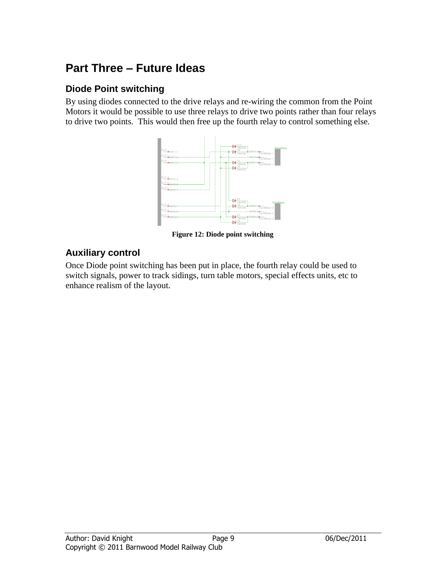# <span id="page-8-0"></span>**Part Three – Future Ideas**

### <span id="page-8-1"></span>**Diode Point switching**

By using diodes connected to the drive relays and re-wiring the common from the Point Motors it would be possible to use three relays to drive two points rather than four relays to drive two points. This would then free up the fourth relay to control something else.



**Figure 12: Diode point switching**

### <span id="page-8-2"></span>**Auxiliary control**

Once Diode point switching has been put in place, the fourth relay could be used to switch signals, power to track sidings, turn table motors, special effects units, etc to enhance realism of the layout.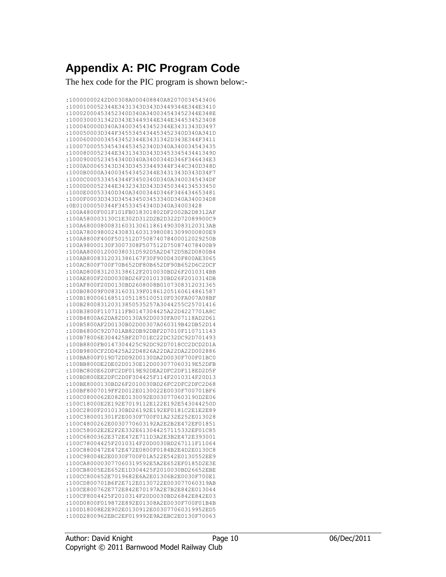# <span id="page-9-0"></span>**Appendix A: PIC Program Code**

The hex code for the PIC program is shown below:-

:10000000242D00308A000408840A82070034543406 :1000100052344E3431343D343D3449344E344E3410 :10002000453452340D340A340034543452344E348E :1000300031342D343E3449344E344E344534523408 :100040000D340A340034543452344E3431343D3497 :100050003D344F3455345434453452340D340A341D :100060000034543452344E3431342D343E344F3411 :1000700055345434453452340D340A340034543435 :1000800052344E3431343D343D345334543441349D :10009000523454340D340A3400344D346F346434E3 :1000A00065343D343D34533449344F344C340D348D :1000B0000A340034543452344E3431343D343D34F7 :1000C000533454344F3450340D340A3400345434DF :1000D00052344E3432343D343D3450344134533450 :1000E00053340D340A3400344D346F346434653481 :1000F0003D343D345434503453340D340A340034D8 :0E01000050344F34533454340D340A34003428 :100A4800F001F101FB018301802DF2002B2D8312AF :100A580003130C1E302D312D2B2D322D72089900C9 :100A680008008316031306118614903083120313AB :100A780098002430831603139800813099000800E9 :100A8800F400F501512D750874078400012029250B :100A98000130F3007308F507512D750874078400B9 :100AA80001200038031D592D5A2D472D5B2D0800B4 :100AB8008312031386167F30F900D430F800AE3065 :100AC800F700F70B652DF80B652DF90B652D6C2DCF :100AD800831203138612F2010030BD26F2010314BB :100AE800F20D0030BD26F2010130BD26F2010314DB :100AF800F20D0130BD2608008B0107308312031365 :100B08009F00831603139F01861205160614861587 :100B180006168511051185100510F030FA007A08BF :100B280083120313850535257A3044255C25701416 :100B3800F1107111FB0147304425A22D4227701A8C :100B4800A62DA82D0130A92D0030FA007118AD2D61 :100B5800AF2D0130B02D00307A060319B42DB52D14 :100B6800C92D701AB82DB92DBF2D7010F110711143 :100B78006E304425BF2D701EC22DC32DC92D701493 :100B8800FB0147304425C92DC92D7018CC2DCD2D1A :100B9800CF2DD425A22D4826A22DA22DA22D002886 :100BA800F019D72DD92D0130DA2D0030F700F01BC0 :100BB800DE2DE02D0130E12D003077060319E52DFB :100BC800E62DFC2DF019E92DEA2DFC2DF118ED2D5F :100BD800EE2DFC2D0F304425F114F2010314F20D13 :100BE8000130BD26F2010030BD26FC2DFC2DFC2D68 :100BF8007019FF2D012E0130022E0030F700701BF6 :100C0800062E082E0130092E0030770603190D2E06 :100C18000E2E192E7019112E122E192E543044250D :100C2800F2010130BD26192E192EF0181C2E1E2E89 :100C380001301F2E0030F700F01A232E252E013028 :100C4800262E0030770603192A2E2B2E472EF01851 :100C58002E2E2F2E332E613044257115332EF01C85 :100C6800362E372E472E711D3A2E3B2E472E393001 :100C78004425F2010314F20D0030BD267111F11064 :100C8800472E472E472E0800F0184B2E4D2E0130C8 :100C98004E2E0030F700F01A522E542E0130552EE9 :100CA800003077060319592E5A2E652EF0185D2E3E :100CB8005E2E652E1D304425F2010030BD26652EBE :100CC800652E7019682E6A2E01306B2E0030F700E1 :100CD800701B6F2E712E0130722E003077060319AB :100CE800762E772E842E70197A2E7B2E842E013044 :100CF8004425F2010314F20D0030BD26842E842E03 :100D0800F019872E892E01308A2E0030F700F01B4B :100D18008E2E902E0130912E003077060319952ED5 :100D2800962EBC2EF019992E9A2EBC2E0130F70063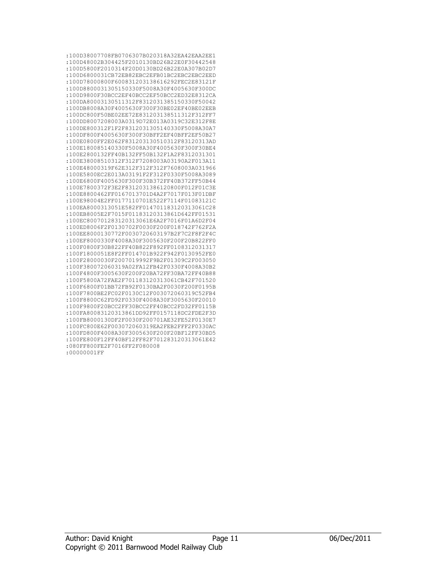| :100D38007708FB0706307B020318A32EA42EAA2EE1 |
|---------------------------------------------|
| :100D48002B304425F2010130BD26B22E0F30442548 |
| :100D5800F2010314F20D0130BD26B22E0A307B02D7 |
| :100D6800031CB72EB82EBC2EFB01BC2EBC2EBC2EED |
| :100D78000800F600831203138616292FEC2E83121F |
| :100D8800031305150330F5008A30F4005630F300DC |
| :100D9800F30BCC2EF40BCC2EF50BCC2ED32E8312CA |
| :100DA80003130511312F8312031385150330F50042 |
| :100DB8008A30F4005630F300F30BE02EF40BE02EEB |
| :100DC800F50BE02EE72E831203138511312F312FF7 |
|                                             |
| :100DD8007208003A0319D72E013A0319C32E312F8E |
| :100DE800312F1F2F8312031305140330F5008A30A7 |
| :100DF800F4005630F300F30BFF2EF40BFF2EF50B27 |
| :100E0800FF2E062F831203130510312F83120313AD |
| :100E180085140330F5008A30F4005630F300F30BE4 |
| :100E2800132FF40B132FF50B132F1A2F8312031301 |
| :100E38008510312F312F7208003A03190A2F013A11 |
| :100E48000319F62E312F312F312F7608003A031966 |
| :100E5800EC2E013A03191F2F312F0330F5008A3089 |
| :100E6800F4005630F300F30B372FF40B372FF50B44 |
| :100E7800372F3E2F8312031386120800F012F01C3E |
| :100E8800462FF0167013701D4A2F7017F013F01DBF |
| :100E98004E2FF0177110701E522F7114F01083121C |
| :100EA8000313051E582FF014701183120313061C28 |
| :100EB8005E2F7015F01183120313861D642FF01531 |
| :100EC800701283120313061E6A2F7016F01A6D2F04 |
| :100ED8006F2F0130702F0030F200F018742F762F2A |
| :100EE8000130772F0030720603197B2F7C2F8F2F4C |
| :100EF8000330F4008A30F3005630F200F20B822FF0 |
| :100F0800F30B822FF40B822F892FF0108312031317 |
| :100F1800051E8F2FF014701B922F942F0130952FE0 |
| :100F28000030F2007019992F9B2F01309C2F003050 |
| :100F380072060319A02FA12FB42F0330F4008A30B2 |
| :100F4800F3005630F200F20BA72FF30BA72FF40B88 |
| :100F5800A72FAE2F701183120313061CB42F701520 |
| :100F6800F01BB72FB92F0130BA2F0030F200F0195B |
|                                             |
| :100F7800BE2FC02F0130C12F003072060319C52FB4 |
| :100F8800C62FD92F0330F4008A30F3005630F20010 |
| :100F9800F20BCC2FF30BCC2FF40BCC2FD32FF0115B |
| :100FA80083120313861DD92FF0157118DC2FDE2F3D |
| :100FB8000130DF2F0030F200701AE32FE52F0130E7 |
| :100FC800E62F003072060319EA2FEB2FFF2F0330AC |
| :100FD800F4008A30F3005630F200F20BF12FF30BD5 |
| :100FE800F12FF40BF12FF82F701283120313061E42 |
| :080FF800FE2F7016FF2F080008                 |
| :00000001FF                                 |